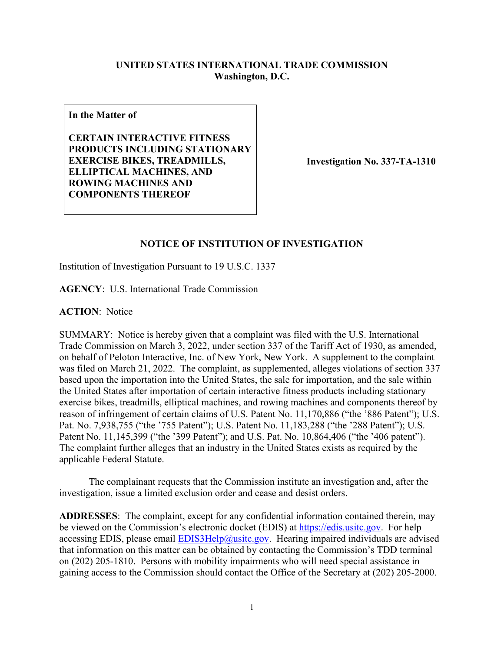## **UNITED STATES INTERNATIONAL TRADE COMMISSION Washington, D.C.**

**In the Matter of**

**CERTAIN INTERACTIVE FITNESS PRODUCTS INCLUDING STATIONARY EXERCISE BIKES, TREADMILLS, ELLIPTICAL MACHINES, AND ROWING MACHINES AND COMPONENTS THEREOF**

**Investigation No. 337-TA-1310**

## **NOTICE OF INSTITUTION OF INVESTIGATION**

Institution of Investigation Pursuant to 19 U.S.C. 1337

**AGENCY**: U.S. International Trade Commission

**ACTION**: Notice

SUMMARY: Notice is hereby given that a complaint was filed with the U.S. International Trade Commission on March 3, 2022, under section 337 of the Tariff Act of 1930, as amended, on behalf of Peloton Interactive, Inc. of New York, New York. A supplement to the complaint was filed on March 21, 2022. The complaint, as supplemented, alleges violations of section 337 based upon the importation into the United States, the sale for importation, and the sale within the United States after importation of certain interactive fitness products including stationary exercise bikes, treadmills, elliptical machines, and rowing machines and components thereof by reason of infringement of certain claims of U.S. Patent No. 11,170,886 ("the '886 Patent"); U.S. Pat. No. 7,938,755 ("the '755 Patent"); U.S. Patent No. 11,183,288 ("the '288 Patent"); U.S. Patent No. 11,145,399 ("the '399 Patent"); and U.S. Pat. No. 10,864,406 ("the '406 patent"). The complaint further alleges that an industry in the United States exists as required by the applicable Federal Statute.

The complainant requests that the Commission institute an investigation and, after the investigation, issue a limited exclusion order and cease and desist orders.

**ADDRESSES**: The complaint, except for any confidential information contained therein, may be viewed on the Commission's electronic docket (EDIS) at [https://edis.usitc.gov.](https://edis.usitc.gov/) For help accessing EDIS, please email  $EDIS3Help@usite.gov$ . Hearing impaired individuals are advised that information on this matter can be obtained by contacting the Commission's TDD terminal on (202) 205-1810. Persons with mobility impairments who will need special assistance in gaining access to the Commission should contact the Office of the Secretary at (202) 205-2000.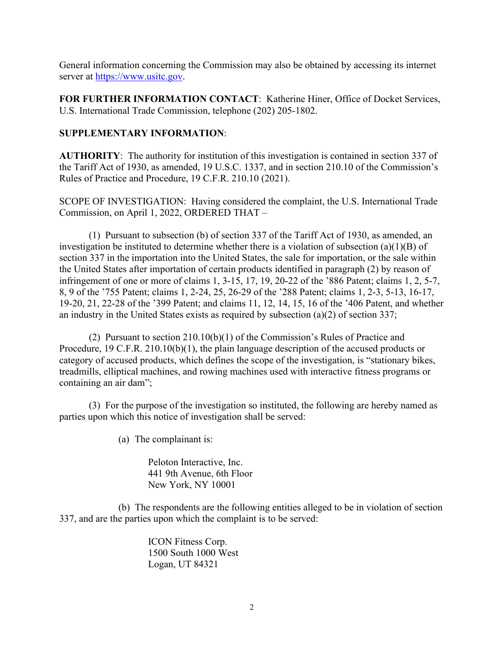General information concerning the Commission may also be obtained by accessing its internet server at [https://www.usitc.gov.](https://www.usitc.gov/)

**FOR FURTHER INFORMATION CONTACT**: Katherine Hiner, Office of Docket Services, U.S. International Trade Commission, telephone (202) 205-1802.

## **SUPPLEMENTARY INFORMATION**:

**AUTHORITY**: The authority for institution of this investigation is contained in section 337 of the Tariff Act of 1930, as amended, 19 U.S.C. 1337, and in section 210.10 of the Commission's Rules of Practice and Procedure, 19 C.F.R. 210.10 (2021).

SCOPE OF INVESTIGATION: Having considered the complaint, the U.S. International Trade Commission, on April 1, 2022, ORDERED THAT –

(1) Pursuant to subsection (b) of section 337 of the Tariff Act of 1930, as amended, an investigation be instituted to determine whether there is a violation of subsection (a)(1)(B) of section 337 in the importation into the United States, the sale for importation, or the sale within the United States after importation of certain products identified in paragraph (2) by reason of infringement of one or more of claims 1, 3-15, 17, 19, 20-22 of the '886 Patent; claims 1, 2, 5-7, 8, 9 of the '755 Patent; claims 1, 2-24, 25, 26-29 of the '288 Patent; claims 1, 2-3, 5-13, 16-17, 19-20, 21, 22-28 of the '399 Patent; and claims 11, 12, 14, 15, 16 of the '406 Patent, and whether an industry in the United States exists as required by subsection (a)(2) of section 337;

(2) Pursuant to section 210.10(b)(1) of the Commission's Rules of Practice and Procedure, 19 C.F.R. 210.10(b)(1), the plain language description of the accused products or category of accused products, which defines the scope of the investigation, is "stationary bikes, treadmills, elliptical machines, and rowing machines used with interactive fitness programs or containing an air dam";

(3) For the purpose of the investigation so instituted, the following are hereby named as parties upon which this notice of investigation shall be served:

(a) The complainant is:

Peloton Interactive, Inc. 441 9th Avenue, 6th Floor New York, NY 10001

(b) The respondents are the following entities alleged to be in violation of section 337, and are the parties upon which the complaint is to be served:

> ICON Fitness Corp. 1500 South 1000 West Logan, UT 84321